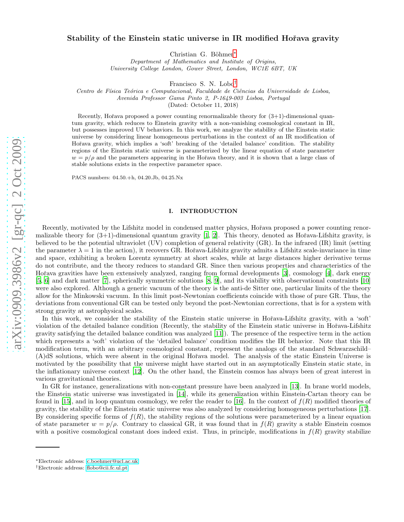# Stability of the Einstein static universe in IR modified Hořava gravity

Christian G. Böhmer\*

Department of Mathematics and Institute of Origins, University College London, Gower Street, London, WC1E 6BT, UK

Francisco S. N. Lobo [†](#page-0-1)

Centro de Física Teórica e Computacional, Faculdade de Ciências da Universidade de Lisboa,

Avenida Professor Gama Pinto 2, P-1649-003 Lisboa, Portuga l

(Dated: October 11, 2018)

Recently, Hořava proposed a power counting renormalizable theory for  $(3+1)$ -dimensional quantum gravity, which reduces to Einstein gravity with a non-vanishing cosmological constant in IR, but possesses improved UV behaviors. In this work, we analyze the stability of the Einstein static universe by considering linear homogeneous perturbations in the context of an IR modification of Hořava gravity, which implies a 'soft' breaking of the 'detailed balance' condition. The stability regions of the Einstein static universe is parameterized by the linear equation of state parameter  $w = p/\rho$  and the parameters appearing in the Hořava theory, and it is shown that a large class of stable solutions exists in the respective parameter space.

PACS numbers: 04.50.+h, 04.20.Jb, 04.25.Nx

## I. INTRODUCTION

Recently, motivated by the Lifshitz model in condensed matter physics, Hořava proposed a power counting renormalizable theory for  $(3+1)$ -dimensional quantum gravity  $[1, 2]$  $[1, 2]$ . This theory, denoted as Hořava-Lifshitz gravity, is believed to be the potential ultraviolet (UV) completion of general relativity (GR). In the infrared (IR) limit (setting the parameter  $\lambda = 1$  in the action), it recovers GR. Hořava-Lifshitz gravity admits a Lifshitz scale-invariance in time and space, exhibiting a broken Lorentz symmetry at short scales, while at large distances higher derivative terms do not contribute, and the theory reduces to standard GR. Since then various properties and characteristics of the Hořava gravities have been extensively analyzed, ranging from formal developments [\[3\]](#page-7-2), cosmology [\[4\]](#page-8-0), dark energy [\[5,](#page-8-1) [6\]](#page-8-2) and dark matter [\[7](#page-8-3)], spherically symmetric solutions [\[8](#page-8-4), [9](#page-8-5)], and its viability with observational constraints [\[10](#page-8-6)] were also explored. Although a generic vacuum of the theory is the anti-de Sitter one, particular limits of the theory allow for the Minkowski vacuum. In this limit post-Newtonian coefficients coincide with those of pure GR. Thus, the deviations from conventional GR can be tested only beyond the post-Newtonian corrections, that is for a system with strong gravity at astrophysical scales.

In this work, we consider the stability of the Einstein static universe in Hořava-Lifshitz gravity, with a 'soft' violation of the detailed balance condition (Recently, the stability of the Einstein static universe in Hořava-Lifshitz gravity satisfying the detailed balance condition was analyzed [\[11\]](#page-8-7)). The presence of the respective term in the action which represents a 'soft' violation of the 'detailed balance' condition modifies the IR behavior. Note that this IR modification term, with an arbitrary cosmological constant, represent the analogs of the standard Schwarzschild– (A)dS solutions, which were absent in the original Hoˇrava model. The analysis of the static Einstein Universe is motivated by the possibility that the universe might have started out in an asymptotically Einstein static state, in the inflationary universe context [\[12](#page-8-8)]. On the other hand, the Einstein cosmos has always been of great interest in various gravitational theories.

In GR for instance, generalizations with non-constant pressure have been analyzed in [\[13\]](#page-8-9). In brane world models, the Einstein static universe was investigated in [\[14\]](#page-8-10), while its generalization within Einstein-Cartan theory can be found in [\[15\]](#page-8-11), and in loop quantum cosmology, we refer the reader to [\[16](#page-8-12)]. In the context of  $f(R)$  modified theories of gravity, the stability of the Einstein static universe was also analyzed by considering homogeneous perturbations [\[17\]](#page-8-13). By considering specific forms of  $f(R)$ , the stability regions of the solutions were parameterized by a linear equation of state parameter  $w = p/\rho$ . Contrary to classical GR, it was found that in  $f(R)$  gravity a stable Einstein cosmos with a positive cosmological constant does indeed exist. Thus, in principle, modifications in  $f(R)$  gravity stabilize

<span id="page-0-0"></span><sup>∗</sup>Electronic address: [c.boehmer@ucl.ac.uk](mailto:c.boehmer@ucl.ac.uk)

<span id="page-0-1"></span><sup>†</sup>Electronic address: [flobo@cii.fc.ul.pt](mailto:flobo@cii.fc.ul.pt)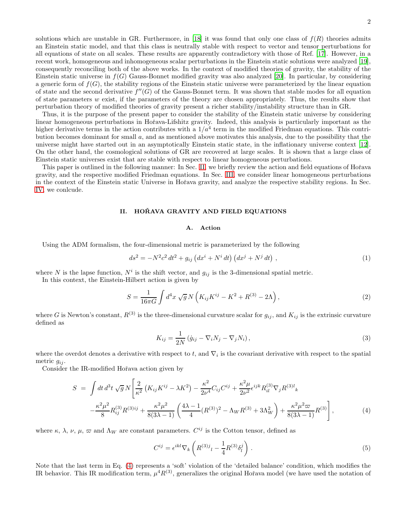2

solutions which are unstable in GR. Furthermore, in [\[18\]](#page-8-14) it was found that only one class of  $f(R)$  theories admits an Einstein static model, and that this class is neutrally stable with respect to vector and tensor perturbations for all equations of state on all scales. These results are apparently contradictory with those of Ref. [\[17\]](#page-8-13). However, in a recent work, homogeneous and inhomogeneous scalar perturbations in the Einstein static solutions were analyzed [\[19\]](#page-8-15), consequently reconciling both of the above works. In the context of modified theories of gravity, the stability of the Einstein static universe in  $f(G)$  Gauss-Bonnet modified gravity was also analyzed [\[20\]](#page-8-16). In particular, by considering a generic form of  $f(G)$ , the stability regions of the Einstein static universe were parameterized by the linear equation of state and the second derivative  $f''(G)$  of the Gauss-Bonnet term. It was shown that stable modes for all equation of state parameters  $w$  exist, if the parameters of the theory are chosen appropriately. Thus, the results show that perturbation theory of modified theories of gravity present a richer stability/instability structure than in GR.

Thus, it is the purpose of the present paper to consider the stability of the Einstein static universe by considering linear homogeneous perturbations in Hořava-Lifshitz gravity. Indeed, this analysis is particularly important as the higher derivative terms in the action contributes with a  $1/a<sup>4</sup>$  term in the modified Friedman equations. This contribution becomes dominant for small a, and as mentioned above motivates this analysis, due to the possibility that the universe might have started out in an asymptotically Einstein static state, in the inflationary universe context [\[12\]](#page-8-8). On the other hand, the cosmological solutions of GR are recovered at large scales. It is shown that a large class of Einstein static universes exist that are stable with respect to linear homogeneous perturbations.

This paper is outlined in the following manner: In Sec. [II,](#page-1-0) we briefly review the action and field equations of Hořava gravity, and the respective modified Friedman equations. In Sec. [III,](#page-2-0) we consider linear homogeneous perturbations in the context of the Einstein static Universe in Hořava gravity, and analyze the respective stability regions. In Sec. [IV,](#page-7-3) we conlcude.

### <span id="page-1-0"></span>II. HOŘAVA GRAVITY AND FIELD EQUATIONS

## A. Action

Using the ADM formalism, the four-dimensional metric is parameterized by the following

$$
ds^{2} = -N^{2}c^{2} dt^{2} + g_{ij} (dx^{i} + N^{i} dt) (dx^{j} + N^{j} dt), \qquad (1)
$$

where N is the lapse function,  $N^i$  is the shift vector, and  $g_{ij}$  is the 3-dimensional spatial metric.

In this context, the Einstein-Hilbert action is given by

$$
S = \frac{1}{16\pi G} \int d^4x \sqrt{g} N \left( K_{ij} K^{ij} - K^2 + R^{(3)} - 2\Lambda \right), \tag{2}
$$

where G is Newton's constant,  $R^{(3)}$  is the three-dimensional curvature scalar for  $g_{ij}$ , and  $K_{ij}$  is the extrinsic curvature defined as

$$
K_{ij} = \frac{1}{2N} \left( \dot{g}_{ij} - \nabla_i N_j - \nabla_j N_i \right),\tag{3}
$$

where the overdot denotes a derivative with respect to t, and  $\nabla_i$  is the covariant derivative with respect to the spatial metric  $g_{ij}$ .

Consider the IR-modified Hoˇrava action given by

<span id="page-1-1"></span>
$$
S = \int dt \, d^3t \, \sqrt{g} \, N \left[ \frac{2}{\kappa^2} \left( K_{ij} K^{ij} - \lambda K^2 \right) - \frac{\kappa^2}{2\nu^4} C_{ij} C^{ij} + \frac{\kappa^2 \mu}{2\nu^2} \epsilon^{ijk} R_{il}^{(3)} \nabla_j R^{(3)l} \kappa \right] - \frac{\kappa^2 \mu^2}{8} R_{ij}^{(3)} R^{(3)ij} + \frac{\kappa^2 \mu^2}{8(3\lambda - 1)} \left( \frac{4\lambda - 1}{4} (R^{(3)})^2 - \Lambda_W R^{(3)} + 3\Lambda_W^2 \right) + \frac{\kappa^2 \mu^2 \varpi}{8(3\lambda - 1)} R^{(3)} \right],
$$
 (4)

where  $\kappa$ ,  $\lambda$ ,  $\nu$ ,  $\mu$ ,  $\varpi$  and  $\Lambda_W$  are constant parameters.  $C^{ij}$  is the Cotton tensor, defined as

$$
C^{ij} = \epsilon^{ikl} \nabla_k \left( R^{(3)j}{}_l - \frac{1}{4} R^{(3)} \delta_l^j \right) \,. \tag{5}
$$

Note that the last term in Eq. [\(4\)](#page-1-1) represents a 'soft' violation of the 'detailed balance' condition, which modifies the IR behavior. This IR modification term,  $\mu^4 R^{(3)}$ , generalizes the original Hořava model (we have used the notation of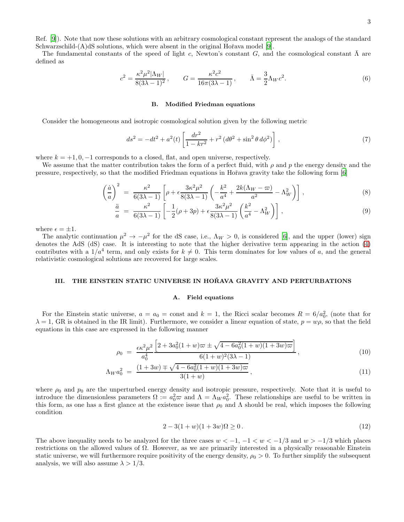Ref. [\[9\]](#page-8-5)). Note that now these solutions with an arbitrary cosmological constant represent the analogs of the standard Schwarzschild- $(A)$ dS solutions, which were absent in the original Ho $\tilde{P}$ ava model [\[9](#page-8-5)].

The fundamental constants of the speed of light c, Newton's constant G, and the cosmological constant  $\bar{\Lambda}$  are defined as

$$
c^{2} = \frac{\kappa^{2} \mu^{2} |\Lambda_{W}|}{8(3\lambda - 1)^{2}}, \qquad G = \frac{\kappa^{2} c^{2}}{16\pi (3\lambda - 1)}, \qquad \bar{\Lambda} = \frac{3}{2} \Lambda_{W} c^{2}.
$$
 (6)

### B. Modified Friedman equations

Consider the homogeneous and isotropic cosmological solution given by the following metric

$$
ds^{2} = -dt^{2} + a^{2}(t) \left[ \frac{dr^{2}}{1 - kr^{2}} + r^{2} (d\theta^{2} + \sin^{2} \theta d\phi^{2}) \right],
$$
\n(7)

where  $k = +1, 0, -1$  corresponds to a closed, flat, and open universe, respectively.

We assume that the matter contribution takes the form of a perfect fluid, with  $\rho$  and p the energy density and the pressure, respectively, so that the modified Friedman equations in Hoˇrava gravity take the following form [\[6](#page-8-2)]

<span id="page-2-2"></span>
$$
\left(\frac{\dot{a}}{a}\right)^2 = \frac{\kappa^2}{6(3\lambda - 1)} \left[\rho + \epsilon \frac{3\kappa^2 \mu^2}{8(3\lambda - 1)} \left(-\frac{k^2}{a^4} + \frac{2k(\Lambda_W - \varpi)}{a^2} - \Lambda_W^2\right)\right],\tag{8}
$$

$$
\frac{\ddot{a}}{a} = \frac{\kappa^2}{6(3\lambda - 1)} \left[ -\frac{1}{2}(\rho + 3p) + \epsilon \frac{3\kappa^2 \mu^2}{8(3\lambda - 1)} \left( \frac{k^2}{a^4} - \Lambda_W^2 \right) \right],
$$
\n(9)

where  $\epsilon = \pm 1$ .

The analytic continuation  $\mu^2 \to -\mu^2$  for the dS case, i.e.,  $\Lambda_W > 0$ , is considered [\[6](#page-8-2)], and the upper (lower) sign denotes the AdS (dS) case. It is interesting to note that the higher derivative term appearing in the action [\(4\)](#page-1-1) contributes with a  $1/a^4$  term, and only exists for  $k \neq 0$ . This term dominates for low values of a, and the general relativistic cosmological solutions are recovered for large scales.

#### <span id="page-2-0"></span>III. THE EINSTEIN STATIC UNIVERSE IN HOŘAVA GRAVITY AND PERTURBATIONS

### A. Field equations

For the Einstein static universe,  $a = a_0 = \text{const}$  and  $k = 1$ , the Ricci scalar becomes  $R = 6/a_0^2$ , (note that for  $\lambda = 1$ , GR is obtained in the IR limit). Furthermore, we consider a linear equation of state,  $p = w\rho$ , so that the field equations in this case are expressed in the following manner

<span id="page-2-1"></span>
$$
\rho_0 = \frac{\epsilon \kappa^2 \mu^2}{a_0^4} \frac{\left[2 + 3a_0^2 (1+w)\varpi \pm \sqrt{4 - 6a_0^2 (1+w)(1+3w)\varpi}\right]}{6(1+w)^2 (3\lambda - 1)},
$$
\n(10)

$$
\Lambda_W a_0^2 = \frac{(1+3w) \mp \sqrt{4 - 6a_0^2(1+w)(1+3w)\varpi}}{3(1+w)},\tag{11}
$$

where  $\rho_0$  and  $p_0$  are the unperturbed energy density and isotropic pressure, respectively. Note that it is useful to introduce the dimensionless parameters  $\Omega := a_0^2 \varpi$  and  $\Lambda = \Lambda_W a_0^2$ . These relationships are useful to be written in this form, as one has a first glance at the existence issue that  $\rho_0$  and  $\Lambda$  should be real, which imposes the following condition

$$
2 - 3(1 + w)(1 + 3w)\Omega \ge 0.
$$
\n(12)

The above inequality needs to be analyzed for the three cases  $w < -1$ ,  $-1 < w < -1/3$  and  $w > -1/3$  which places restrictions on the allowed values of Ω. However, as we are primarily interested in a physically reasonable Einstein static universe, we will furthermore require positivity of the energy density,  $\rho_0 > 0$ . To further simplify the subsequent analysis, we will also assume  $\lambda > 1/3$ .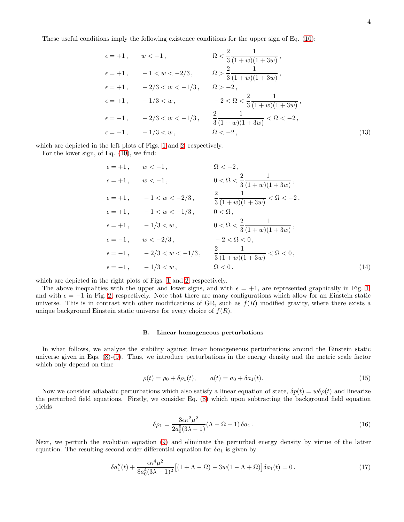These useful conditions imply the following existence conditions for the upper sign of Eq. [\(10\)](#page-2-1):

$$
\epsilon = +1, \quad w < -1, \quad \Omega < \frac{2}{3} \frac{1}{(1+w)(1+3w)},
$$
  
\n
$$
\epsilon = +1, \quad -1 < w < -2/3, \quad \Omega > \frac{2}{3} \frac{1}{(1+w)(1+3w)},
$$
  
\n
$$
\epsilon = +1, \quad -2/3 < w < -1/3, \quad \Omega > -2,
$$
  
\n
$$
\epsilon = +1, \quad -1/3 < w, \quad -2 < \Omega < \frac{2}{3} \frac{1}{(1+w)(1+3w)},
$$
  
\n
$$
\epsilon = -1, \quad -2/3 < w < -1/3, \quad \frac{2}{3} \frac{1}{(1+w)(1+3w)} < \Omega < -2,
$$
  
\n
$$
\epsilon = -1, \quad -1/3 < w, \quad \Omega < -2,
$$
  
\n(13)

which are depicted in the left plots of Figs. [1](#page-4-0) and [2,](#page-4-1) respectively.

For the lower sign, of Eq. [\(10\)](#page-2-1), we find:

$$
\epsilon = +1, \quad w < -1, \quad \Omega < -2, \n\epsilon = +1, \quad w < -1, \quad 0 < \Omega < \frac{2}{3} \frac{1}{(1+w)(1+3w)}, \n\epsilon = +1, \quad -1 < w < -2/3, \quad \frac{2}{3} \frac{1}{(1+w)(1+3w)} < \Omega < -2, \n\epsilon = +1, \quad -1 < w < -1/3, \quad 0 < \Omega, \n\epsilon = +1, \quad -1/3 < w, \quad 0 < \Omega < \frac{2}{3} \frac{1}{(1+w)(1+3w)}, \n\epsilon = -1, \quad w < -2/3, \quad -2 < \Omega < 0, \n\epsilon = -1, \quad -2/3 < w < -1/3, \quad \frac{2}{3} \frac{1}{(1+w)(1+3w)} < \Omega < 0, \n\epsilon = -1, \quad -1/3 < w, \quad \Omega < 0.
$$
\n(14)

which are depicted in the right plots of Figs. [1](#page-4-0) and [2,](#page-4-1) respectively.

The above inequalities with the upper and lower signs, and with  $\epsilon = +1$ , are represented graphically in Fig. [1,](#page-4-0) and with  $\epsilon = -1$  in Fig. [2,](#page-4-1) respectively. Note that there are many configurations which allow for an Einstein static universe. This is in contrast with other modifications of GR, such as  $f(R)$  modified gravity, where there exists a unique background Einstein static universe for every choice of  $f(R)$ .

### B. Linear homogeneous perturbations

In what follows, we analyze the stability against linear homogeneous perturbations around the Einstein static universe given in Eqs. [\(8\)](#page-2-2)-[\(9\)](#page-2-2). Thus, we introduce perturbations in the energy density and the metric scale factor which only depend on time

$$
\rho(t) = \rho_0 + \delta \rho_1(t), \qquad a(t) = a_0 + \delta a_1(t). \tag{15}
$$

Now we consider adiabatic perturbations which also satisfy a linear equation of state,  $\delta p(t) = w \delta \rho(t)$  and linearize the perturbed field equations. Firstly, we consider Eq. [\(8\)](#page-2-2) which upon subtracting the background field equation yields

$$
\delta \rho_1 = \frac{3\epsilon \kappa^2 \mu^2}{2a_0^5 (3\lambda - 1)} (\Lambda - \Omega - 1) \delta a_1.
$$
\n(16)

Next, we perturb the evolution equation [\(9\)](#page-2-2) and eliminate the perturbed energy density by virtue of the latter equation. The resulting second order differential equation for  $\delta a_1$  is given by

$$
\delta a_1''(t) + \frac{\epsilon \kappa^4 \mu^2}{8a_0^4 (3\lambda - 1)^2} \left[ (1 + \Lambda - \Omega) - 3w(1 - \Lambda + \Omega) \right] \delta a_1(t) = 0. \tag{17}
$$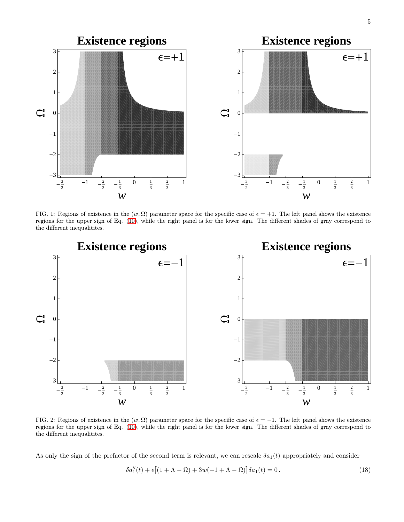

<span id="page-4-0"></span>FIG. 1: Regions of existence in the  $(w, \Omega)$  parameter space for the specific case of  $\epsilon = +1$ . The left panel shows the existence regions for the upper sign of Eq. [\(10\)](#page-2-1), while the right panel is for the lower sign. The different shades of gray correspond to the different inequalitites.



<span id="page-4-1"></span>FIG. 2: Regions of existence in the  $(w, \Omega)$  parameter space for the specific case of  $\epsilon = -1$ . The left panel shows the existence regions for the upper sign of Eq. [\(10\)](#page-2-1), while the right panel is for the lower sign. The different shades of gray correspond to the different inequalitites.

As only the sign of the prefactor of the second term is relevant, we can rescale  $\delta a_1(t)$  appropriately and consider

<span id="page-4-2"></span>
$$
\delta a_1''(t) + \epsilon [(1 + \Lambda - \Omega) + 3w(-1 + \Lambda - \Omega)] \delta a_1(t) = 0.
$$
\n(18)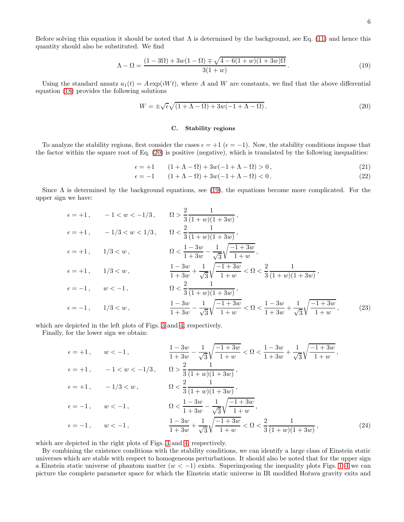Before solving this equation it should be noted that  $\Lambda$  is determined by the background, see Eq. [\(11\)](#page-2-1) and hence this quantity should also be substituted. We find

$$
\Lambda - \Omega = \frac{(1 - 3\Omega) + 3w(1 - \Omega) \mp \sqrt{4 - 6(1 + w)(1 + 3w)\Omega}}{3(1 + w)}.
$$
\n(19)

Using the standard ansatz  $a_1(t) = A \exp(iWt)$ , where A and W are constants, we find that the above differential equation [\(18\)](#page-4-2) provides the following solutions

$$
W = \pm \sqrt{\epsilon} \sqrt{(1 + \Lambda - \Omega) + 3w(-1 + \Lambda - \Omega)}.
$$
\n(20)

#### <span id="page-5-1"></span><span id="page-5-0"></span>C. Stability regions

To analyze the stability regions, first consider the cases  $\epsilon = +1$  ( $\epsilon = -1$ ). Now, the stability conditions impose that the factor within the square root of Eq. [\(20\)](#page-5-0) is positive (negative), which is translated by the following inequalities:

$$
\epsilon = +1 \qquad (1 + \Lambda - \Omega) + 3w(-1 + \Lambda - \Omega) > 0 \,, \tag{21}
$$

$$
\epsilon = -1 \qquad (1 + \Lambda - \Omega) + 3w(-1 + \Lambda - \Omega) < 0. \tag{22}
$$

Since  $\Lambda$  is determined by the background equations, see [\(19\)](#page-5-1), the equations become more complicated. For the upper sign we have:

$$
\epsilon = +1, \quad -1 < w < -1/3, \quad \Omega > \frac{2}{3} \frac{1}{(1+w)(1+3w)},
$$
\n
$$
\epsilon = +1, \quad -1/3 < w < 1/3, \quad \Omega < \frac{2}{3} \frac{1}{(1+w)(1+3w)},
$$
\n
$$
\epsilon = +1, \quad 1/3 < w, \quad \Omega < \frac{1-3w}{1+3w} - \frac{1}{\sqrt{3}} \sqrt{\frac{-1+3w}{1+w}},
$$
\n
$$
\epsilon = +1, \quad 1/3 < w, \quad \frac{1-3w}{1+3w} + \frac{1}{\sqrt{3}} \sqrt{\frac{-1+3w}{1+w}} < \Omega < \frac{2}{3} \frac{1}{(1+w)(1+3w)},
$$
\n
$$
\epsilon = -1, \quad w < -1, \quad \Omega < \frac{2}{3} \frac{1}{(1+w)(1+3w)},
$$
\n
$$
\epsilon = -1, \quad 1/3 < w, \quad \frac{1-3w}{1+3w} - \frac{1}{\sqrt{3}} \sqrt{\frac{-1+3w}{1+w}} < \Omega < \frac{1-3w}{1+3w} + \frac{1}{\sqrt{3}} \sqrt{\frac{-1+3w}{1+w}}, \quad (23)
$$

which are depicted in the left plots of Figs. [3](#page-6-0) and [4,](#page-6-1) respectively.

Finally, for the lower sign we obtain:

$$
\epsilon = +1, \quad w < -1, \quad \frac{1 - 3w}{1 + 3w} - \frac{1}{\sqrt{3}} \sqrt{\frac{-1 + 3w}{1 + w}} < \Omega < \frac{1 - 3w}{1 + 3w} + \frac{1}{\sqrt{3}} \sqrt{\frac{-1 + 3w}{1 + w}},
$$
  
\n
$$
\epsilon = +1, \quad -1 < w < -1/3, \quad \Omega > \frac{2}{3} \frac{1}{(1 + w)(1 + 3w)},
$$
  
\n
$$
\epsilon = +1, \quad -1/3 < w, \quad \Omega < \frac{2}{3} \frac{1}{(1 + w)(1 + 3w)},
$$
  
\n
$$
\epsilon = -1, \quad w < -1, \quad \Omega < \frac{1 - 3w}{1 + 3w} - \frac{1}{\sqrt{3}} \sqrt{\frac{-1 + 3w}{1 + w}},
$$
  
\n
$$
\epsilon = -1, \quad w < -1, \quad \frac{1 - 3w}{1 + 3w} + \frac{1}{\sqrt{3}} \sqrt{\frac{-1 + 3w}{1 + w}} < \Omega < \frac{2}{3} \frac{1}{(1 + w)(1 + 3w)},
$$
  
\n(24)

which are depicted in the right plots of Figs. [3](#page-6-0) and [4,](#page-6-1) respectively.

By combining the existence conditions with the stability conditions, we can identify a large class of Einstein static universes which are stable with respect to homogeneous perturbations. It should also be noted that for the upper sign a Einstein static universe of phantom matter  $(w < -1)$  exists. Superimposing the inequality plots Figs. [1–](#page-4-0)[4](#page-6-1) we can picture the complete parameter space for which the Einstein static universe in IR modified Hořava gravity exits and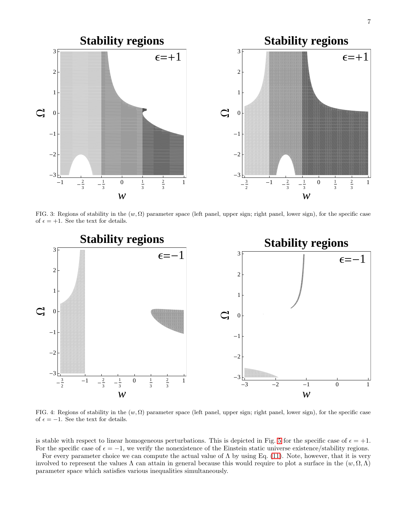



<span id="page-6-0"></span>FIG. 3: Regions of stability in the  $(w, \Omega)$  parameter space (left panel, upper sign; right panel, lower sign), for the specific case of  $\epsilon = +1$ . See the text for details.



<span id="page-6-1"></span>FIG. 4: Regions of stability in the  $(w, \Omega)$  parameter space (left panel, upper sign; right panel, lower sign), for the specific case of  $\epsilon = -1$ . See the text for details.

is stable with respect to linear homogeneous perturbations. This is depicted in Fig. [5](#page-7-4) for the specific case of  $\epsilon = +1$ . For the specific case of  $\epsilon = -1$ , we verify the nonexistence of the Einstein static universe existence/stability regions.

For every parameter choice we can compute the actual value of  $\Lambda$  by using Eq. [\(11\)](#page-2-1). Note, however, that it is very involved to represent the values  $\Lambda$  can attain in general because this would require to plot a surface in the  $(w, \Omega, \Lambda)$ parameter space which satisfies various inequalities simultaneously.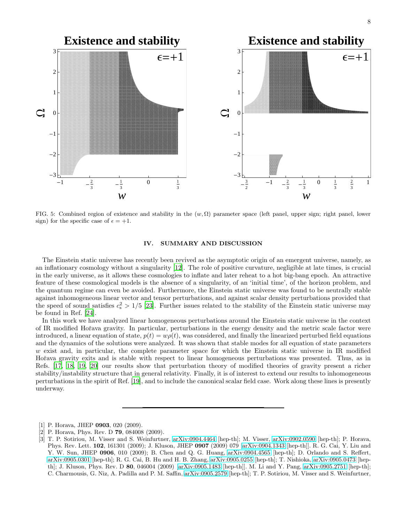

<span id="page-7-4"></span>FIG. 5: Combined region of existence and stability in the  $(w, \Omega)$  parameter space (left panel, upper sign; right panel, lower sign) for the specific case of  $\epsilon = +1$ .

#### <span id="page-7-3"></span>IV. SUMMARY AND DISCUSSION

The Einstein static universe has recently been revived as the asymptotic origin of an emergent universe, namely, as an inflationary cosmology without a singularity [\[12](#page-8-8)]. The role of positive curvature, negligible at late times, is crucial in the early universe, as it allows these cosmologies to inflate and later reheat to a hot big-bang epoch. An attractive feature of these cosmological models is the absence of a singularity, of an 'initial time', of the horizon problem, and the quantum regime can even be avoided. Furthermore, the Einstein static universe was found to be neutrally stable against inhomogeneous linear vector and tensor perturbations, and against scalar density perturbations provided that the speed of sound satisfies  $c_s^2 > 1/5$  [\[23](#page-8-17)]. Further issues related to the stability of the Einstein static universe may be found in Ref. [\[24\]](#page-8-18).

In this work we have analyzed linear homogeneous perturbations around the Einstein static universe in the context of IR modified Hoˇrava gravity. In particular, perturbations in the energy density and the metric scale factor were introduced, a linear equation of state,  $p(t) = w\rho(t)$ , was considered, and finally the linearized perturbed field equations and the dynamics of the solutions were analyzed. It was shown that stable modes for all equation of state parameters w exist and, in particular, the complete parameter space for which the Einstein static universe in IR modified Hořava gravity exits and is stable with respect to linear homogeneous perturbations was presented. Thus, as in Refs. [\[17](#page-8-13), [18](#page-8-14), [19,](#page-8-15) [20\]](#page-8-16) our results show that perturbation theory of modified theories of gravity present a richer stability/instability structure that in general relativity. Finally, it is of interest to extend our results to inhomogeneous perturbations in the spirit of Ref. [\[19](#page-8-15)], and to include the canonical scalar field case. Work along these lines is presently underway.

<span id="page-7-0"></span><sup>[1]</sup> P. Horava, JHEP **0903**, 020 (2009).

<span id="page-7-1"></span><sup>[2]</sup> P. Horava, Phys. Rev. D **79**, 084008 (2009).

<span id="page-7-2"></span><sup>[3]</sup> T. P. Sotiriou, M. Visser and S. Weinfurtner, [arXiv:0904.4464](http://arxiv.org/abs/0904.4464) [hep-th]; M. Visser, [arXiv:0902.0590](http://arxiv.org/abs/0902.0590) [hep-th]; P. Horava, Phys. Rev. Lett. 102, 161301 (2009); J. Kluson, JHEP 0907 (2009) 079 [\[arXiv:0904.1343](http://arxiv.org/abs/0904.1343) [hep-th]]. R. G. Cai, Y. Liu and Y. W. Sun, JHEP 0906, 010 (2009); B. Chen and Q. G. Huang, [arXiv:0904.4565](http://arxiv.org/abs/0904.4565) [hep-th]; D. Orlando and S. Reffert, [arXiv:0905.0301](http://arxiv.org/abs/0905.0301) [hep-th]; R. G. Cai, B. Hu and H. B. Zhang, [arXiv:0905.0255](http://arxiv.org/abs/0905.0255) [hep-th]; T. Nishioka, [arXiv:0905.0473](http://arxiv.org/abs/0905.0473) [hepth]; J. Kluson, Phys. Rev. D 80, 046004 (2009) [\[arXiv:0905.1483](http://arxiv.org/abs/0905.1483) [hep-th]]. M. Li and Y. Pang, [arXiv:0905.2751](http://arxiv.org/abs/0905.2751) [hep-th]; C. Charmousis, G. Niz, A. Padilla and P. M. Saffin, [arXiv:0905.2579](http://arxiv.org/abs/0905.2579) [hep-th]; T. P. Sotiriou, M. Visser and S. Weinfurtner,